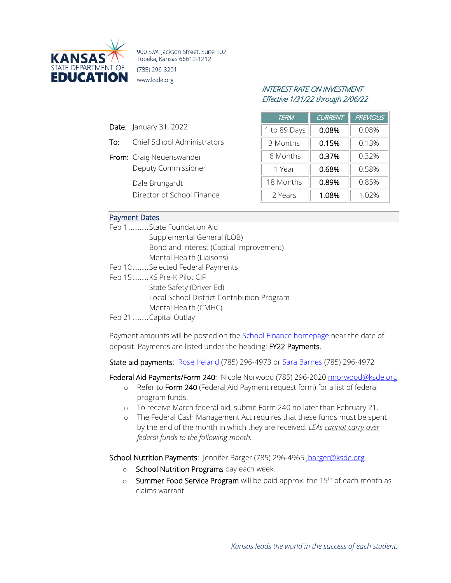

900 S.W. Jackson Street, Suite 102 Topeka, Kansas 66612-1212 (785) 296-3201 www.ksde.org

# INTEREST RATE ON INVESTMENT Effective 1/31/22 through 2/06/22

| <b>TERM</b>  | <b>CURRENT</b> | <b>PREVIOUS</b> |
|--------------|----------------|-----------------|
| 1 to 89 Days | 0.08%          | 0.08%           |
| 3 Months     | 0.15%          | 0.13%           |
| 6 Months     | 0.37%          | 0.32%           |
| 1 Year       | 0.68%          | 0.58%           |
| 18 Months    | 0.89%          | 0.85%           |
| 2 Years      | 1.08%          | 1.02%           |

## Payment Dates

Date: January 31, 2022

From: Craig Neuenswander

Dale Brungardt

To: Chief School Administrators

Deputy Commissioner

Director of School Finance

| Feb 1 State Foundation Aid                 |
|--------------------------------------------|
| Supplemental General (LOB)                 |
| Bond and Interest (Capital Improvement)    |
| Mental Health (Liaisons)                   |
| Feb 10 Selected Federal Payments           |
| Feb 15KS Pre-K Pilot CIF                   |
| State Safety (Driver Ed)                   |
| Local School District Contribution Program |
| Mental Health (CMHC)                       |
| Feb 21  Capital Outlay                     |

Payment amounts will be posted on the [School Finance homepage](http://www.ksde.org/Agency/Fiscal-and-Administrative-Services/School-Finance/Payment-Information) near the date of deposit. Payments are listed under the heading: FY22 Payments.

State aid payments: [Rose Ireland](mailto:rireland@ksde.org) (785) 296-4973 o[r Sara Barnes](mailto:sbarnes@ksde.org) (785) 296-4972

Federal Aid Payments/Form 240: Nicole Norwood (785) 296-2020 [nnorwood@ksde.org](mailto:nnorwood@ksde.org)

- o Refer to Form 240 (Federal Aid Payment request form) for a list of federal program funds.
- o To receive March federal aid, submit Form 240 no later than February 21.
- o The Federal Cash Management Act requires that these funds must be spent by the end of the month in which they are received. *LEAs cannot carry over federal funds to the following month.*

School Nutrition Payments: Jennifer Barger (785) 296-4965 [jbarger@ksde.org](mailto:jbarger@ksde.org)

- o School Nutrition Programs pay each week.
- $\circ$  Summer Food Service Program will be paid approx. the 15<sup>th</sup> of each month as claims warrant.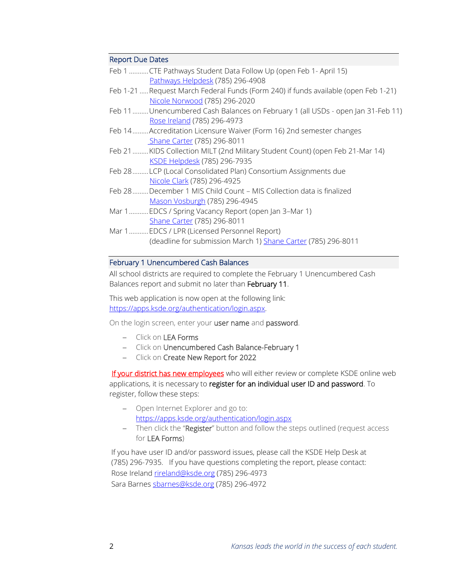### Report Due Dates

| Feb 1CTE Pathways Student Data Follow Up (open Feb 1- April 15)                     |
|-------------------------------------------------------------------------------------|
| Pathways Helpdesk (785) 296-4908                                                    |
| Feb 1-21  Request March Federal Funds (Form 240) if funds available (open Feb 1-21) |
| Nicole Norwood (785) 296-2020                                                       |
| Feb 11Unencumbered Cash Balances on February 1 (all USDs - open Jan 31-Feb 11)      |
| Rose Ireland (785) 296-4973                                                         |
| Feb 14Accreditation Licensure Waiver (Form 16) 2nd semester changes                 |
| Shane Carter (785) 296-8011                                                         |
| Feb 21KIDS Collection MILT (2nd Military Student Count) (open Feb 21-Mar 14)        |
| KSDE Helpdesk (785) 296-7935                                                        |
| Feb 28LCP (Local Consolidated Plan) Consortium Assignments due                      |
| Nicole Clark (785) 296-4925                                                         |
| Feb 28December 1 MIS Child Count - MIS Collection data is finalized                 |
| Mason Vosburgh (785) 296-4945                                                       |
| Mar 1 EDCS / Spring Vacancy Report (open Jan 3-Mar 1)                               |
| Shane Carter (785) 296-8011                                                         |
| Mar 1 EDCS / LPR (Licensed Personnel Report)                                        |
| (deadline for submission March 1) Shane Carter (785) 296-8011                       |

#### February 1 Unencumbered Cash Balances

All school districts are required to complete the February 1 Unencumbered Cash Balances report and submit no later than February 11.

This web application is now open at the following link: [https://apps.ksde.org/authentication/login.aspx.](https://apps.ksde.org/authentication/login.aspx)

On the login screen, enter your user name and password.

- − Click on LEA Forms
- − Click on Unencumbered Cash Balance-February 1
- − Click on Create New Report for 2022

If your district has new employees who will either review or complete KSDE online web applications, it is necessary to register for an individual user ID and password. To register, follow these steps:

- − Open Internet Explorer and go to: [https://apps.ksde.org/authentication/login.aspx](https://linkprotect.cudasvc.com/url?a=https://apps.ksde.org/authentication/login.aspx&c=E,1,VbC6w6VvwjhEl_L3qJy4l_HMNdtu3ZJS6JYpPPG6gvQptkKs-4UftArJvINcp8FHl0ylTmyQbRuWnejIodDcTKpwjlPNIDRQTWZ-l9ft3jKAHR0yqPN3hTY,&typo=1)
- − Then click the "Register" button and follow the steps outlined (request access for LEA Forms)

If you have user ID and/or password issues, please call the KSDE Help Desk at (785) 296-7935. If you have questions completing the report, please contact: Rose Irelan[d rireland@ksde.org](mailto:rireland@ksde.org) (785) 296-4973 Sara Barne[s sbarnes@ksde.org](mailto:sbarnes@ksde.org) (785) 296-4972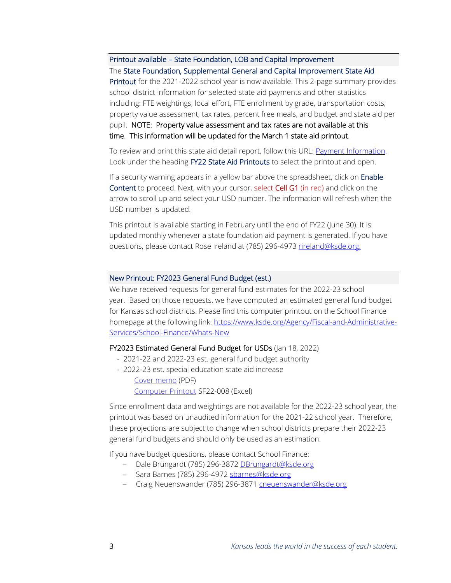Printout available – State Foundation, LOB and Capital Improvement

#### The State Foundation, Supplemental General and Capital Improvement State Aid

Printout for the 2021-2022 school year is now available. This 2-page summary provides school district information for selected state aid payments and other statistics including: FTE weightings, local effort, FTE enrollment by grade, transportation costs, property value assessment, tax rates, percent free meals, and budget and state aid per pupil. NOTE: Property value assessment and tax rates are not available at this time. This information will be updated for the March 1 state aid printout.

To review and print this state aid detail report, follow this URL[: Payment Information.](http://www.ksde.org/Agency/Fiscal-and-Administrative-Services/School-Finance/Payment-Information) Look under the heading FY22 State Aid Printouts to select the printout and open.

If a security warning appears in a yellow bar above the spreadsheet, click on Enable Content to proceed. Next, with your cursor, select Cell G1 (in red) and click on the arrow to scroll up and select your USD number. The information will refresh when the USD number is updated.

This printout is available starting in February until the end of FY22 (June 30). It is updated monthly whenever a state foundation aid payment is generated. If you have questions, please contact Rose Ireland at (785) 296-4973 [rireland@ksde.org.](mailto:rireland@ksde.org)

#### New Printout: FY2023 General Fund Budget (est.)

We have received requests for general fund estimates for the 2022-23 school year. Based on those requests, we have computed an estimated general fund budget for Kansas school districts. Please find this computer printout on the School Finance homepage at the following link: [https://www.ksde.org/Agency/Fiscal-and-Administrative-](https://www.ksde.org/Agency/Fiscal-and-Administrative-Services/School-Finance/Whats-New)[Services/School-Finance/Whats-New](https://www.ksde.org/Agency/Fiscal-and-Administrative-Services/School-Finance/Whats-New)

#### FY2023 Estimated General Fund Budget for USDs (Jan 18, 2022)

- 2021-22 and 2022-23 est. general fund budget authority
- 2022-23 est. special education state aid increase Cover [memo](https://www.ksde.org/Portals/0/School%20Finance/Action%20Items/SF22-008--CX--est%20inc%20GF%20budget%20authority.pdf?ver=2022-01-27-135716-420) (PDF) [Computer](https://www.ksde.org/Portals/0/School%20Finance/Action%20Items/SF22-008.xlsx?ver=2022-01-26-165217-970) Printout SF22-008 (Excel)

Since enrollment data and weightings are not available for the 2022-23 school year, the printout was based on unaudited information for the 2021-22 school year. Therefore, these projections are subject to change when school districts prepare their 2022-23 general fund budgets and should only be used as an estimation.

If you have budget questions, please contact School Finance:

- − Dale Brungardt (785) 296-3872 [DBrungardt@ksde.org](mailto:DBrungardt@ksde.org)
- − Sara Barnes (785) 296-4972 [sbarnes@ksde.org](mailto:sbarnes@ksde.org)
- − Craig Neuenswander (785) 296-3871 [cneuenswander@ksde.org](mailto:cneuenswander@ksde.org)